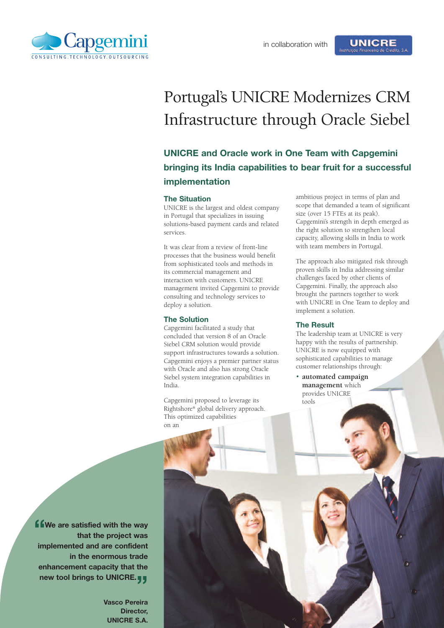

# Portugal's UNICRE Modernizes CRM Infrastructure through Oracle Siebel

## **UNICRE and Oracle work in One Team with Capgemini bringing its India capabilities to bear fruit for a successful implementation**

#### **The Situation**

UNICRE is the largest and oldest company in Portugal that specializes in issuing solutions-based payment cards and related services.

It was clear from a review of front-line processes that the business would benefit from sophisticated tools and methods in its commercial management and interaction with customers. UNICRE management invited Capgemini to provide consulting and technology services to deploy a solution.

#### **The Solution**

Capgemini facilitated a study that concluded that version 8 of an Oracle Siebel CRM solution would provide support infrastructures towards a solution. Capgemini enjoys a premier partner status with Oracle and also has strong Oracle Siebel system integration capabilities in India.

Capgemini proposed to leverage its Rightshore® global delivery approach. This optimized capabilities on an

ambitious project in terms of plan and scope that demanded a team of significant size (over 15 FTEs at its peak). Capgemini's strength in depth emerged as the right solution to strengthen local capacity, allowing skills in India to work with team members in Portugal.

**UNICRE** 

The approach also mitigated risk through proven skills in India addressing similar challenges faced by other clients of Capgemini. Finally, the approach also brought the partners together to work with UNICRE in One Team to deploy and implement a solution.

#### **The Result**

The leadership team at UNICRE is very happy with the results of partnership. UNICRE is now equipped with sophisticated capabilities to manage customer relationships through:

• **automated campaign management** which provides UNICRE tools

**"We are satisfied with the way that the project was implemented and are confident in the enormous trade enhancement capacity that the new tool brings to UNICRE. "**

**Vasco Pereira Director, UNICRE S.A.**